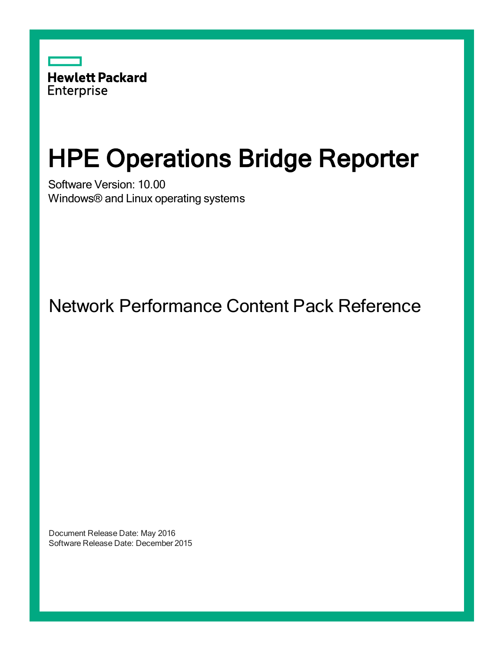

# HPE Operations Bridge Reporter

Software Version: 10.00 Windows® and Linux operating systems

Network Performance Content Pack Reference

Document Release Date: May 2016 Software Release Date: December 2015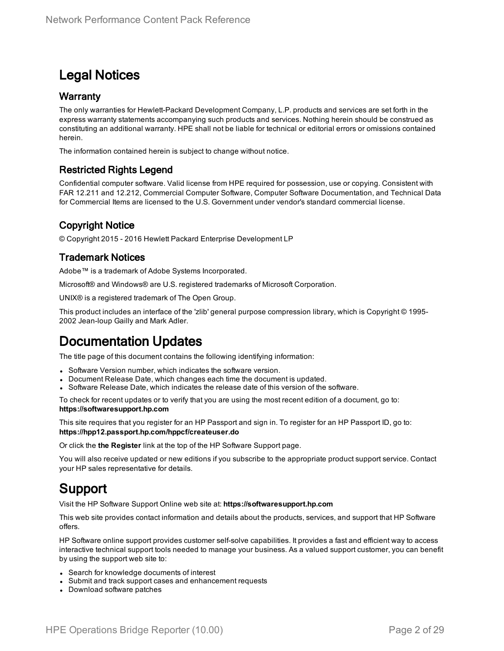### Legal Notices

#### **Warranty**

The only warranties for Hewlett-Packard Development Company, L.P. products and services are set forth in the express warranty statements accompanying such products and services. Nothing herein should be construed as constituting an additional warranty. HPE shall not be liable for technical or editorial errors or omissions contained herein.

The information contained herein is subject to change without notice.

#### Restricted Rights Legend

Confidential computer software. Valid license from HPE required for possession, use or copying. Consistent with FAR 12.211 and 12.212, Commercial Computer Software, Computer Software Documentation, and Technical Data for Commercial Items are licensed to the U.S. Government under vendor's standard commercial license.

### Copyright Notice

© Copyright 2015 - 2016 Hewlett Packard Enterprise Development LP

#### Trademark Notices

Adobe™ is a trademark of Adobe Systems Incorporated.

Microsoft® and Windows® are U.S. registered trademarks of Microsoft Corporation.

UNIX® is a registered trademark of The Open Group.

This product includes an interface of the 'zlib' general purpose compression library, which is Copyright © 1995- 2002 Jean-loup Gailly and Mark Adler.

### Documentation Updates

The title page of this document contains the following identifying information:

- Software Version number, which indicates the software version.
- Document Release Date, which changes each time the document is updated.
- <sup>l</sup> Software Release Date, which indicates the release date of this version of the software.

To check for recent updates or to verify that you are using the most recent edition of a document, go to: **https://softwaresupport.hp.com**

This site requires that you register for an HP Passport and sign in. To register for an HP Passport ID, go to: **https://hpp12.passport.hp.com/hppcf/createuser.do**

Or click the **the Register** link at the top of the HP Software Support page.

You will also receive updated or new editions if you subscribe to the appropriate product support service. Contact your HP sales representative for details.

### Support

Visit the HP Software Support Online web site at: **https://softwaresupport.hp.com**

This web site provides contact information and details about the products, services, and support that HP Software offers.

HP Software online support provides customer self-solve capabilities. It provides a fast and efficient way to access interactive technical support tools needed to manage your business. As a valued support customer, you can benefit by using the support web site to:

- Search for knowledge documents of interest
- Submit and track support cases and enhancement requests
- Download software patches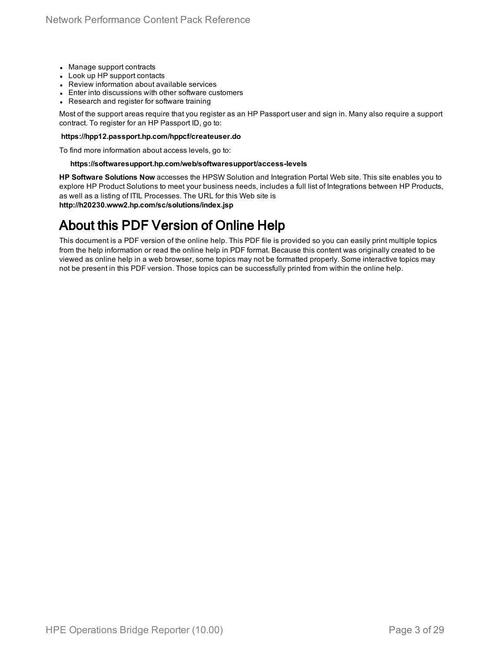- Manage support contracts
- Look up HP support contacts
- Review information about available services
- Enter into discussions with other software customers
- Research and register for software training

Most of the support areas require that you register as an HP Passport user and sign in. Many also require a support contract. To register for an HP Passport ID, go to:

#### **https://hpp12.passport.hp.com/hppcf/createuser.do**

To find more information about access levels, go to:

#### **https://softwaresupport.hp.com/web/softwaresupport/access-levels**

**HP Software Solutions Now** accesses the HPSW Solution and Integration Portal Web site. This site enables you to explore HP Product Solutions to meet your business needs, includes a full list of Integrations between HP Products, as well as a listing of ITIL Processes. The URL for this Web site is **http://h20230.www2.hp.com/sc/solutions/index.jsp**

### About this PDF Version of Online Help

This document is a PDF version of the online help. This PDF file is provided so you can easily print multiple topics from the help information or read the online help in PDF format. Because this content was originally created to be viewed as online help in a web browser, some topics may not be formatted properly. Some interactive topics may not be present in this PDF version. Those topics can be successfully printed from within the online help.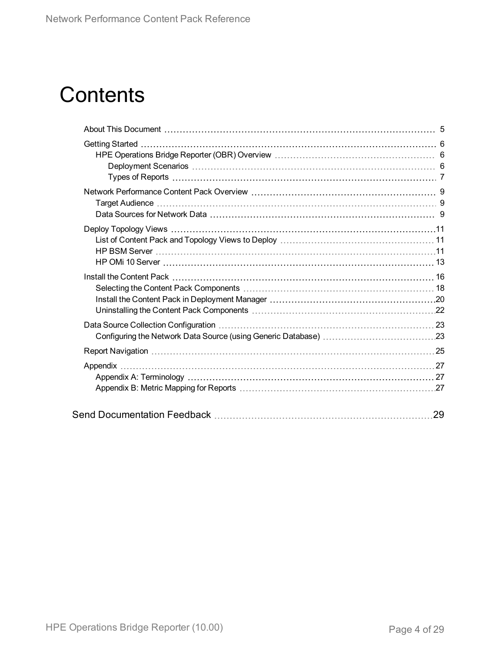## **Contents**

| 29 |
|----|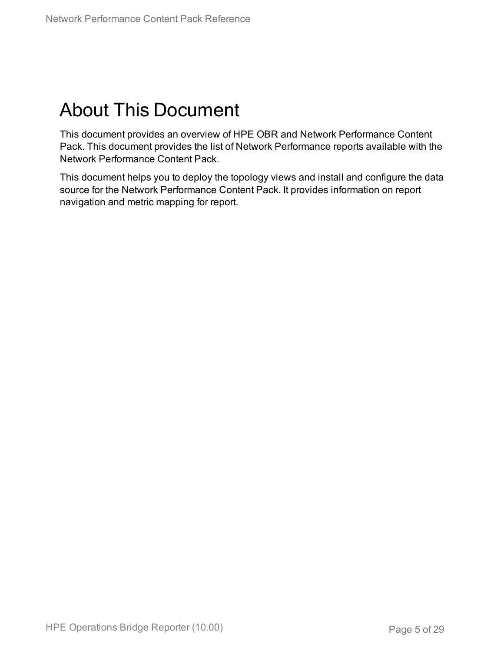## <span id="page-4-0"></span>About This Document

This document provides an overview of HPE OBR and Network Performance Content Pack. This document provides the list of Network Performance reports available with the Network Performance Content Pack.

This document helps you to deploy the topology views and install and configure the data source for the Network Performance Content Pack. It provides information on report navigation and metric mapping for report.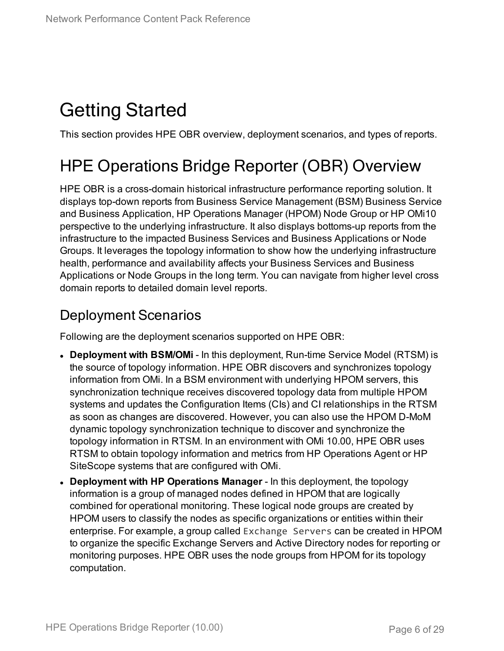## <span id="page-5-0"></span>Getting Started

<span id="page-5-1"></span>This section provides HPE OBR overview, deployment scenarios, and types of reports.

## HPE Operations Bridge Reporter (OBR) Overview

HPE OBR is a cross-domain historical infrastructure performance reporting solution. It displays top-down reports from Business Service Management (BSM) Business Service and Business Application, HP Operations Manager (HPOM) Node Group or HP OMi10 perspective to the underlying infrastructure. It also displays bottoms-up reports from the infrastructure to the impacted Business Services and Business Applications or Node Groups. It leverages the topology information to show how the underlying infrastructure health, performance and availability affects your Business Services and Business Applications or Node Groups in the long term. You can navigate from higher level cross domain reports to detailed domain level reports.

### <span id="page-5-2"></span>Deployment Scenarios

Following are the deployment scenarios supported on HPE OBR:

- **Deployment with BSM/OMi** In this deployment, Run-time Service Model (RTSM) is the source of topology information. HPE OBR discovers and synchronizes topology information from OMi. In a BSM environment with underlying HPOM servers, this synchronization technique receives discovered topology data from multiple HPOM systems and updates the Configuration Items (CIs) and CI relationships in the RTSM as soon as changes are discovered. However, you can also use the HPOM D-MoM dynamic topology synchronization technique to discover and synchronize the topology information in RTSM. In an environment with OMi 10.00, HPE OBR uses RTSM to obtain topology information and metrics from HP Operations Agent or HP SiteScope systems that are configured with OMi.
- <sup>l</sup> **Deployment with HP Operations Manager** In this deployment, the topology information is a group of managed nodes defined in HPOM that are logically combined for operational monitoring. These logical node groups are created by HPOM users to classify the nodes as specific organizations or entities within their enterprise. For example, a group called Exchange Servers can be created in HPOM to organize the specific Exchange Servers and Active Directory nodes for reporting or monitoring purposes. HPE OBR uses the node groups from HPOM for its topology computation.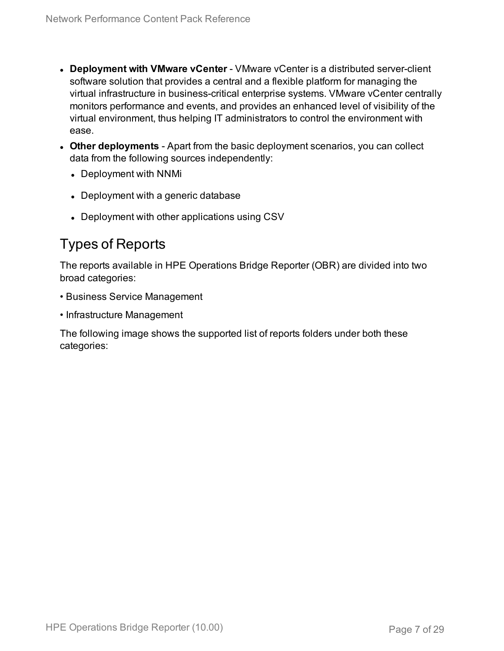- **.** Deployment with **VMware vCenter** VMware vCenter is a distributed server-client software solution that provides a central and a flexible platform for managing the virtual infrastructure in business-critical enterprise systems. VMware vCenter centrally monitors performance and events, and provides an enhanced level of visibility of the virtual environment, thus helping IT administrators to control the environment with ease.
- **Other deployments** Apart from the basic deployment scenarios, you can collect data from the following sources independently:
	- Deployment with NNMi
	- Deployment with a generic database
	- Deployment with other applications using CSV

### <span id="page-6-0"></span>Types of Reports

The reports available in HPE Operations Bridge Reporter (OBR) are divided into two broad categories:

- Business Service Management
- Infrastructure Management

The following image shows the supported list of reports folders under both these categories: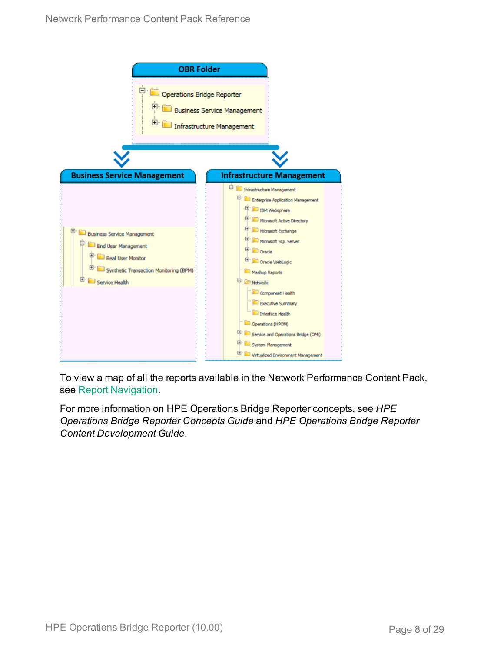

To view a map of all the reports available in the Network Performance Content Pack, see Report [Navigation](#page-24-0).

For more information on HPE Operations Bridge Reporter concepts, see *HPE Operations Bridge Reporter Concepts Guide* and *HPE Operations Bridge Reporter Content Development Guide*.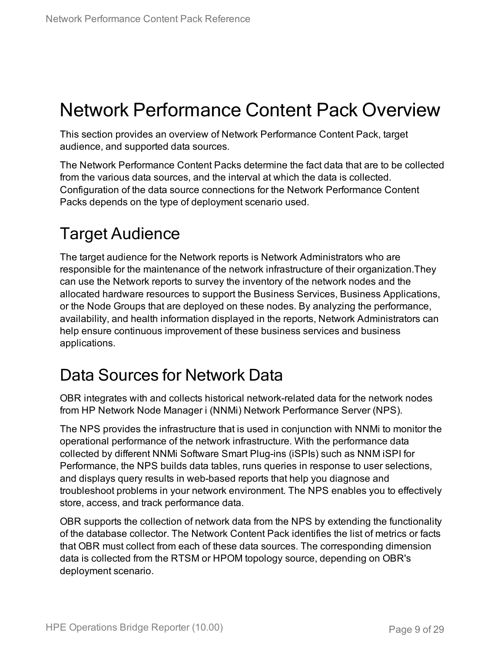## <span id="page-8-0"></span>Network Performance Content Pack Overview

This section provides an overview of Network Performance Content Pack, target audience, and supported data sources.

The Network Performance Content Packs determine the fact data that are to be collected from the various data sources, and the interval at which the data is collected. Configuration of the data source connections for the Network Performance Content Packs depends on the type of deployment scenario used.

## <span id="page-8-1"></span>Target Audience

The target audience for the Network reports is Network Administrators who are responsible for the maintenance of the network infrastructure of their organization.They can use the Network reports to survey the inventory of the network nodes and the allocated hardware resources to support the Business Services, Business Applications, or the Node Groups that are deployed on these nodes. By analyzing the performance, availability, and health information displayed in the reports, Network Administrators can help ensure continuous improvement of these business services and business applications.

## <span id="page-8-2"></span>Data Sources for Network Data

OBR integrates with and collects historical network-related data for the network nodes from HP Network Node Manager i (NNMi) Network Performance Server (NPS).

The NPS provides the infrastructure that is used in conjunction with NNMi to monitor the operational performance of the network infrastructure. With the performance data collected by different NNMi Software Smart Plug-ins (iSPIs) such as NNM iSPI for Performance, the NPS builds data tables, runs queries in response to user selections, and displays query results in web-based reports that help you diagnose and troubleshoot problems in your network environment. The NPS enables you to effectively store, access, and track performance data.

OBR supports the collection of network data from the NPS by extending the functionality of the database collector. The Network Content Pack identifies the list of metrics or facts that OBR must collect from each of these data sources. The corresponding dimension data is collected from the RTSM or HPOM topology source, depending on OBR's deployment scenario.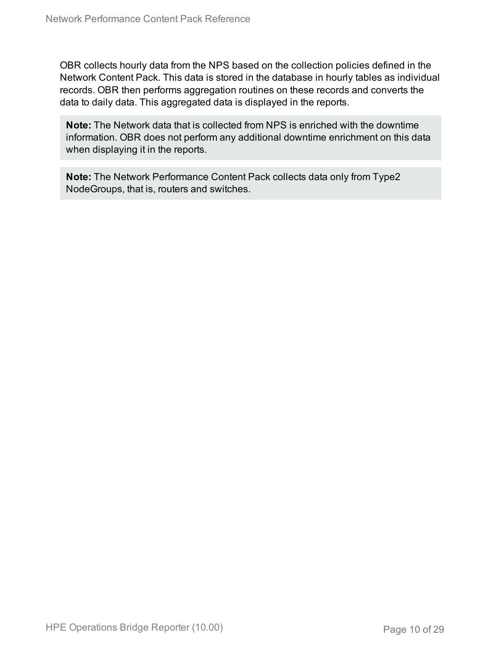OBR collects hourly data from the NPS based on the collection policies defined in the Network Content Pack. This data is stored in the database in hourly tables as individual records. OBR then performs aggregation routines on these records and converts the data to daily data. This aggregated data is displayed in the reports.

**Note:** The Network data that is collected from NPS is enriched with the downtime information. OBR does not perform any additional downtime enrichment on this data when displaying it in the reports.

**Note:** The Network Performance Content Pack collects data only from Type2 NodeGroups, that is, routers and switches.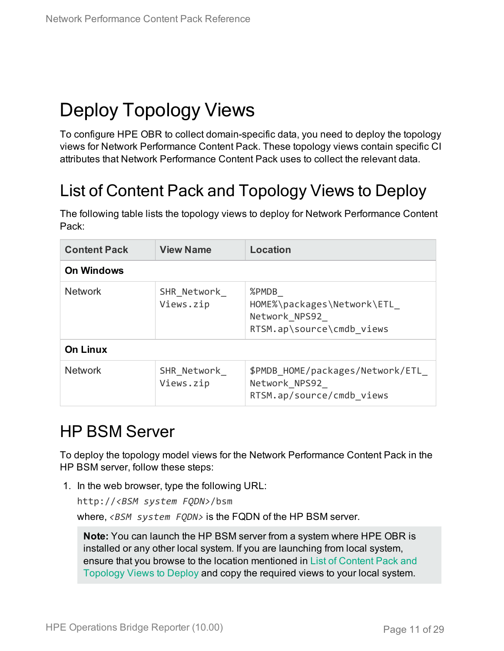## <span id="page-10-0"></span>Deploy Topology Views

To configure HPE OBR to collect domain-specific data, you need to deploy the topology views for Network Performance Content Pack. These topology views contain specific CI attributes that Network Performance Content Pack uses to collect the relevant data.

## <span id="page-10-1"></span>List of Content Pack and Topology Views to Deploy

The following table lists the topology views to deploy for Network Performance Content Pack:

| <b>Content Pack</b> | <b>View Name</b>         | <b>Location</b>                                                                   |  |  |  |  |  |  |
|---------------------|--------------------------|-----------------------------------------------------------------------------------|--|--|--|--|--|--|
| <b>On Windows</b>   |                          |                                                                                   |  |  |  |  |  |  |
| <b>Network</b>      | SHR Network<br>Views.zip | %PMDB<br>HOME%\packages\Network\ETL<br>Network NPS92<br>RTSM.ap\source\cmdb views |  |  |  |  |  |  |
| <b>On Linux</b>     |                          |                                                                                   |  |  |  |  |  |  |
| <b>Network</b>      | SHR Network<br>Views.zip | \$PMDB HOME/packages/Network/ETL<br>Network NPS92<br>RTSM.ap/source/cmdb views    |  |  |  |  |  |  |

## <span id="page-10-2"></span>HP BSM Server

To deploy the topology model views for the Network Performance Content Pack in the HP BSM server, follow these steps:

1. In the web browser, type the following URL:

http://*<BSM system FQDN>*/bsm where, *<BSM system FQDN>* is the FQDN of the HP BSM server.

**Note:** You can launch the HP BSM server from a system where HPE OBR is installed or any other local system. If you are launching from local system, ensure that you browse to the location mentioned in List of [Content](#page-10-1) Pack and [Topology](#page-10-1) Views to Deploy and copy the required views to your local system.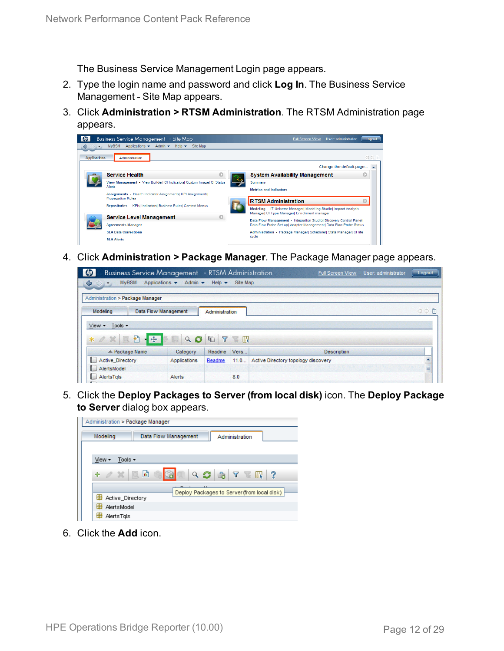The Business Service Management Login page appears.

- 2. Type the login name and password and click **Log In**. The Business Service Management - Site Map appears.
- 3. Click **Administration > RTSM Administration**. The RTSM Administration page appears.



4. Click **Administration > Package Manager**. The Package Manager page appears.

| <b>Business Service Management</b> - RTSM Administration<br>$\varphi$ |                                    |                           |              | <b>Full Screen View</b>             | User: administrator | Logout                                                                                                                     |
|-----------------------------------------------------------------------|------------------------------------|---------------------------|--------------|-------------------------------------|---------------------|----------------------------------------------------------------------------------------------------------------------------|
| <b>MyBSM</b><br>♦<br>C)<br>$\overline{\phantom{a}}$                   | Applications $\star$ Admin $\star$ | Help $\blacktriangledown$ | Site Map     |                                     |                     |                                                                                                                            |
| Administration > Package Manager                                      |                                    |                           |              |                                     |                     |                                                                                                                            |
| Modeling                                                              | <b>Data Flow Management</b>        | Administration            |              |                                     |                     | ◇◇■                                                                                                                        |
| Tools -<br>$View -$<br>$-1.5$<br>椚<br>$*$ $\alpha$ $\alpha$<br>概      | Q                                  | Y<br>G                    | <b>TABLE</b> |                                     |                     |                                                                                                                            |
| $\angle$ Package Name                                                 | Category                           | Readme                    | Vers         | <b>Description</b>                  |                     |                                                                                                                            |
| <b>List</b><br><b>Active Directory</b>                                | Applications                       | Readme                    | 11.0         | Active Directory topology discovery |                     | $\begin{array}{c c c c} \hline \multicolumn{3}{c }{\blacktriangle} & \multicolumn{3}{c }{\blacktriangleright} \end{array}$ |
| AlertsModel<br><b>B</b> 11                                            |                                    |                           |              |                                     |                     |                                                                                                                            |
| <b>AlertsTals</b><br>$\mathbf{H}$                                     | Alerts                             |                           | 8.0          |                                     |                     |                                                                                                                            |

5. Click the **Deploy Packages to Server (from local disk)** icon. The **Deploy Package to Server** dialog box appears.



6. Click the **Add** icon.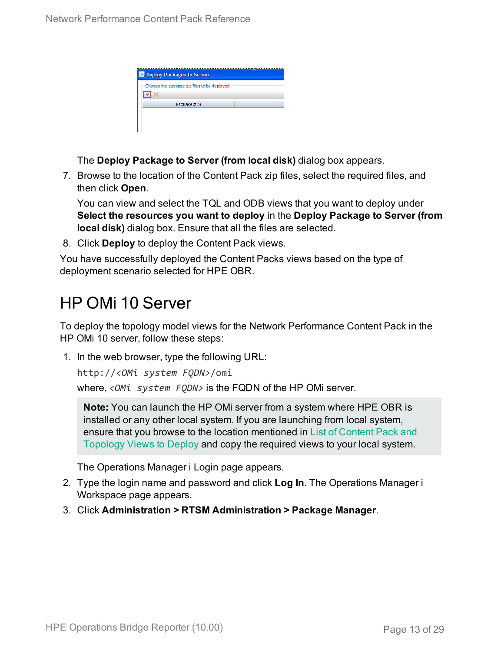| <b>B</b> Deploy Packages to Server          |  |
|---------------------------------------------|--|
| Choose the package zip files to be deployed |  |
| Package (zip)                               |  |
|                                             |  |
|                                             |  |

The **Deploy Package to Server (from local disk)** dialog box appears.

7. Browse to the location of the Content Pack zip files, select the required files, and then click **Open**.

You can view and select the TQL and ODB views that you want to deploy under **Select the resources you want to deploy** in the **Deploy Package to Server (from local disk)** dialog box. Ensure that all the files are selected.

8. Click **Deploy** to deploy the Content Pack views.

You have successfully deployed the Content Packs views based on the type of deployment scenario selected for HPE OBR.

## <span id="page-12-0"></span>HP OMi 10 Server

To deploy the topology model views for the Network Performance Content Pack in the HP OMi 10 server, follow these steps:

1. In the web browser, type the following URL:

http://*<OMi system FQDN>*/omi

where, *<OMi system FQDN>* is the FQDN of the HP OMi server.

**Note:** You can launch the HP OMi server from a system where HPE OBR is installed or any other local system. If you are launching from local system, ensure that you browse to the location mentioned in List of [Content](#page-10-1) Pack and [Topology](#page-10-1) Views to Deploy and copy the required views to your local system.

The Operations Manager i Login page appears.

- 2. Type the login name and password and click **Log In**. The Operations Manager i Workspace page appears.
- 3. Click **Administration > RTSM Administration > Package Manager**.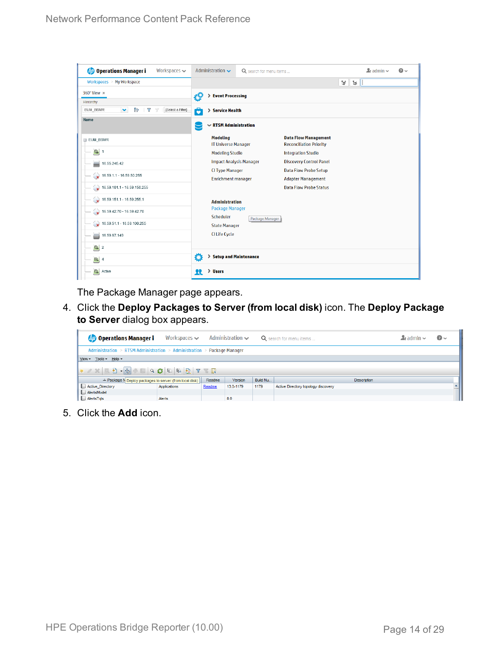| <b>Operations Manager i</b><br>Workspaces $\smile$                       | Administration $\sim$                         | Q search for menu items        |                                                               |              | $\Delta$ admin $\sim$ | $\bullet$ |  |  |  |  |
|--------------------------------------------------------------------------|-----------------------------------------------|--------------------------------|---------------------------------------------------------------|--------------|-----------------------|-----------|--|--|--|--|
| Workspaces > My Workspace                                                |                                               |                                |                                                               | Ħ.<br>Tel 11 |                       |           |  |  |  |  |
| 360° View x                                                              | > Event Processing                            |                                |                                                               |              |                       |           |  |  |  |  |
| Hierarchy                                                                |                                               |                                |                                                               |              |                       |           |  |  |  |  |
| È<br>EUM_BSMR<br>×.<br>Y<br>[Select a Filter]<br>$\overline{\mathbb{Y}}$ | ô<br>> Service Health                         |                                |                                                               |              |                       |           |  |  |  |  |
| Name                                                                     | $\sim$ RTSM Administration                    |                                |                                                               |              |                       |           |  |  |  |  |
| E EUM_BSMR                                                               | <b>Modeling</b><br><b>IT Universe Manager</b> |                                | <b>Data Flow Management</b><br><b>Reconciliation Priority</b> |              |                       |           |  |  |  |  |
| $\boxed{0}$ 1                                                            | <b>Modeling Studio</b>                        |                                | <b>Integration Studio</b>                                     |              |                       |           |  |  |  |  |
| Ë<br>16.55.245.42                                                        |                                               | <b>Impact Analysis Manager</b> | <b>Discovery Control Panel</b>                                |              |                       |           |  |  |  |  |
| $\bullet$ 16.59.1.1 - 16.59.50.255                                       | <b>CI Type Manager</b>                        |                                | <b>Data Flow Probe Setup</b>                                  |              |                       |           |  |  |  |  |
|                                                                          | <b>Enrichment manager</b>                     |                                | <b>Adapter Management</b>                                     |              |                       |           |  |  |  |  |
| $\bigotimes$ 16.59.101.1 - 16.59.150.255                                 |                                               |                                | <b>Data Flow Probe Status</b>                                 |              |                       |           |  |  |  |  |
| $\bigotimes$ 16.59.151.1 - 16.59.255.1                                   | <b>Administration</b>                         |                                |                                                               |              |                       |           |  |  |  |  |
| 16.59.42.70 - 16.59.42.70                                                | <b>Package Manager</b>                        |                                |                                                               |              |                       |           |  |  |  |  |
|                                                                          | Scheduler                                     | Package Manager                |                                                               |              |                       |           |  |  |  |  |
| $\bigotimes$ 16.59.51.1 - 16.59.100.255                                  | <b>State Manager</b>                          |                                |                                                               |              |                       |           |  |  |  |  |
| 16.59.67.149<br>L)                                                       | <b>CI Life Cycle</b>                          |                                |                                                               |              |                       |           |  |  |  |  |
| $\bigcirc$ 2                                                             |                                               |                                |                                                               |              |                       |           |  |  |  |  |
| $\bigcirc$ 4                                                             | Ö                                             | > Setup and Maintenance        |                                                               |              |                       |           |  |  |  |  |
| Active                                                                   | > Users<br>п                                  |                                |                                                               |              |                       |           |  |  |  |  |

The Package Manager page appears.

4. Click the **Deploy Packages to Server (from local disk)** icon. The **Deploy Package to Server** dialog box appears.

| <b>Operations Manager i</b>                                             | Workspaces $\smile$ |        | Administration $\sim$ |          | Q search for menu items             | $\blacktriangle$ r admin $\blacktriangleright$ | $\odot$ |  |  |  |
|-------------------------------------------------------------------------|---------------------|--------|-----------------------|----------|-------------------------------------|------------------------------------------------|---------|--|--|--|
| Administration > RTSM Administration > Administration > Package Manager |                     |        |                       |          |                                     |                                                |         |  |  |  |
| View - Tools - Help -                                                   |                     |        |                       |          |                                     |                                                |         |  |  |  |
|                                                                         |                     |        |                       |          |                                     |                                                |         |  |  |  |
| ≐ Package N Deploy packages to server (from local disk)                 |                     | Readme | <b>Version</b>        | Build Nu | <b>Description</b>                  |                                                |         |  |  |  |
| Active_Directory                                                        | Applications        | Readme | 13.0-1179             | 1179     | Active Directory topology discovery |                                                |         |  |  |  |
| AlertsModel                                                             |                     |        |                       |          |                                     |                                                |         |  |  |  |
| AlertsTqls                                                              | Alerts              |        | 8.0                   |          |                                     |                                                |         |  |  |  |

5. Click the **Add** icon.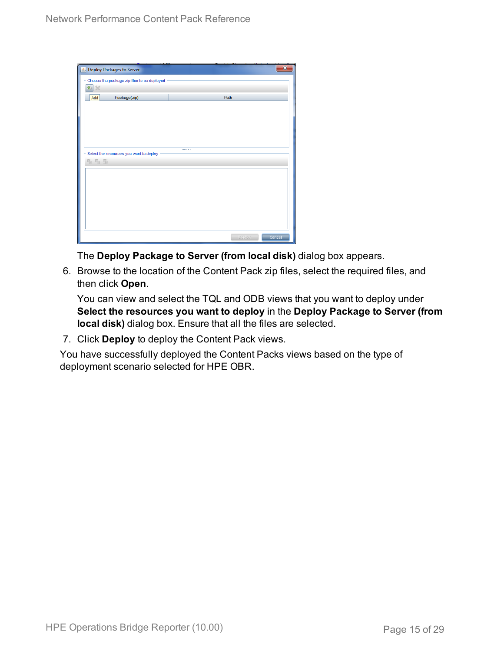| Deploy Packages to Server                   |      | $\overline{\mathbf{x}}$ |
|---------------------------------------------|------|-------------------------|
| Choose the package zip files to be deployed |      |                         |
| 垂<br>$\chi$                                 |      |                         |
| Package(zip)<br>Add                         | Path |                         |
|                                             |      |                         |
|                                             |      |                         |
|                                             |      |                         |
|                                             |      |                         |
|                                             |      |                         |
| Select the resources you want to deploy     |      |                         |
| 名马路                                         |      |                         |
|                                             |      |                         |
|                                             |      |                         |
|                                             |      |                         |
|                                             |      |                         |
|                                             |      |                         |
|                                             |      |                         |
|                                             |      |                         |
|                                             |      |                         |

The **Deploy Package to Server (from local disk)** dialog box appears.

6. Browse to the location of the Content Pack zip files, select the required files, and then click **Open**.

You can view and select the TQL and ODB views that you want to deploy under **Select the resources you want to deploy** in the **Deploy Package to Server (from local disk)** dialog box. Ensure that all the files are selected.

7. Click **Deploy** to deploy the Content Pack views.

You have successfully deployed the Content Packs views based on the type of deployment scenario selected for HPE OBR.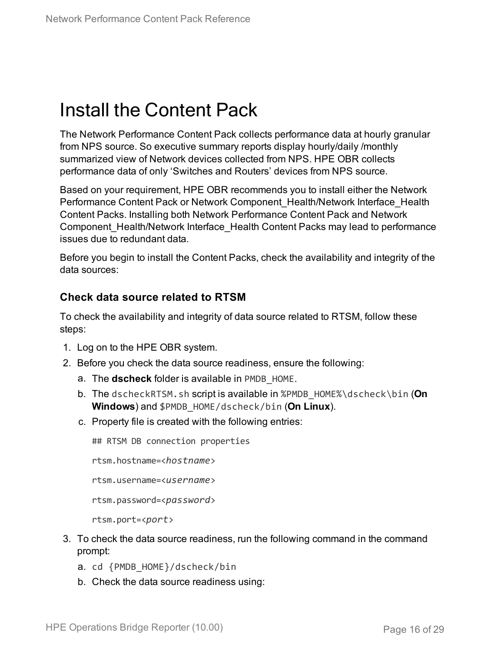## <span id="page-15-0"></span>Install the Content Pack

The Network Performance Content Pack collects performance data at hourly granular from NPS source. So executive summary reports display hourly/daily /monthly summarized view of Network devices collected from NPS. HPE OBR collects performance data of only 'Switches and Routers' devices from NPS source.

Based on your requirement, HPE OBR recommends you to install either the Network Performance Content Pack or Network Component Health/Network Interface Health Content Packs. Installing both Network Performance Content Pack and Network Component Health/Network Interface Health Content Packs may lead to performance issues due to redundant data.

Before you begin to install the Content Packs, check the availability and integrity of the data sources:

### **Check data source related to RTSM**

To check the availability and integrity of data source related to RTSM, follow these steps:

- 1. Log on to the HPE OBR system.
- 2. Before you check the data source readiness, ensure the following:
	- a. The **dscheck** folder is available in PMDB\_HOME.
	- b. The dscheckRTSM.sh script is available in %PMDB\_HOME%\dscheck\bin (**On Windows**) and \$PMDB\_HOME/dscheck/bin (**On Linux**).
	- c. Property file is created with the following entries:

## RTSM DB connection properties

rtsm.hostname=<*hostname*>

rtsm.username=<*username*>

rtsm.password=<*password*>

rtsm.port=<*port*>

- 3. To check the data source readiness, run the following command in the command prompt:
	- a. cd {PMDB\_HOME}/dscheck/bin
	- b. Check the data source readiness using: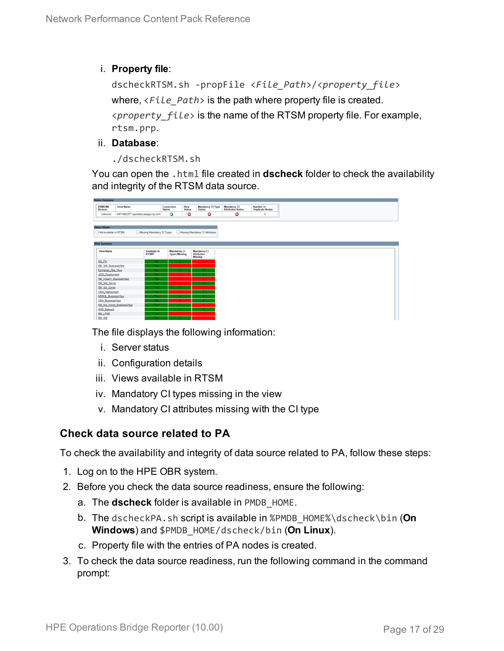i. **Property file**:

```
dscheckRTSM.sh -propFile <File_Path>/<property_file>
where, <File_Path> is the path where property file is created.
<property_file> is the name of the RTSM property file. For example,
rtsm.prp.
```
- ii. **Database**:
	- ./dscheckRTSM.sh

You can open the .html file created in **dscheck** folder to check the availability and integrity of the RTSM data source.

| <b>Status Summary</b>                |                                   |                            |                             |                       |                                           |                                          |                                            |
|--------------------------------------|-----------------------------------|----------------------------|-----------------------------|-----------------------|-------------------------------------------|------------------------------------------|--------------------------------------------|
| <b>BSM/OMi</b><br><b>Version</b>     | <b>Host Name</b>                  |                            | Connection<br><b>Status</b> | View<br><b>Status</b> | <b>Mandatory CI Type</b><br><b>Status</b> | Mandatory CI<br><b>Attributes Status</b> | <b>Number of</b><br><b>Duplicate Nodes</b> |
| Unknown                              | IWFVM02277.hpswlabs.adapps.hp.com |                            | Ø                           | ◎                     | O                                         | ◎                                        | $\bullet$                                  |
|                                      |                                   |                            |                             |                       |                                           |                                          |                                            |
| <b>Select Views:</b>                 |                                   |                            |                             |                       |                                           |                                          |                                            |
| Not available in RTSM                |                                   | Missing Mandatory CI Types |                             |                       | Missing Mandatory CI Attributes           |                                          |                                            |
|                                      |                                   |                            |                             |                       |                                           |                                          |                                            |
|                                      |                                   |                            |                             |                       |                                           |                                          |                                            |
| <b>View Summary</b>                  |                                   |                            |                             |                       |                                           |                                          |                                            |
| <b>View Name</b>                     |                                   | <b>Available in</b>        | <b>Mandatory CI</b>         |                       | <b>Mandatory CI</b>                       |                                          |                                            |
|                                      |                                   | RTSM?                      | <b>Types Missing</b>        |                       | <b>Attributes</b><br><b>Missing</b>       |                                          |                                            |
| SM_PA                                |                                   | Yes.                       |                             |                       |                                           |                                          |                                            |
| SM SiS BusinessView                  |                                   | Yes:                       |                             |                       |                                           |                                          |                                            |
| Exchange_Site_View                   |                                   | Yes:                       |                             |                       |                                           |                                          |                                            |
| J2EE Deployment                      |                                   | Yes:                       |                             |                       |                                           |                                          |                                            |
| SM_HyperV_BusinessView               |                                   | Yes                        |                             |                       |                                           |                                          |                                            |
| SM SiS Server                        |                                   | Yes:                       |                             |                       | $\mathbf{0}$                              |                                          |                                            |
| SM Sol Zones                         |                                   | Yes                        |                             |                       |                                           |                                          |                                            |
| <b>ORA</b> Deployment                |                                   | Yes                        |                             |                       |                                           |                                          |                                            |
| <b>MSSQL BusinessView</b>            |                                   | Yes:                       |                             |                       | Λ.                                        |                                          |                                            |
| ORA BusinessView                     |                                   | Yes                        |                             |                       | $\mathbf{a}$                              |                                          |                                            |
|                                      | SM_Sol_Zones_BusinessView         | Yes:                       |                             |                       | 12                                        |                                          |                                            |
| <b>SHR Network</b><br><b>SM LPAR</b> |                                   | Yes<br>Yes                 |                             |                       | n.                                        |                                          |                                            |
| CALL COR                             |                                   |                            |                             |                       |                                           |                                          |                                            |

The file displays the following information:

- i. Server status
- ii. Configuration details
- iii. Views available in RTSM
- iv. Mandatory CI types missing in the view
- v. Mandatory CI attributes missing with the CI type

### **Check data source related to PA**

To check the availability and integrity of data source related to PA, follow these steps:

- 1. Log on to the HPE OBR system.
- 2. Before you check the data source readiness, ensure the following:
	- a. The **dscheck** folder is available in PMDB\_HOME.
	- b. The dscheckPA.sh script is available in %PMDB\_HOME%\dscheck\bin (**On Windows**) and \$PMDB\_HOME/dscheck/bin (**On Linux**).
	- c. Property file with the entries of PA nodes is created.
- 3. To check the data source readiness, run the following command in the command prompt: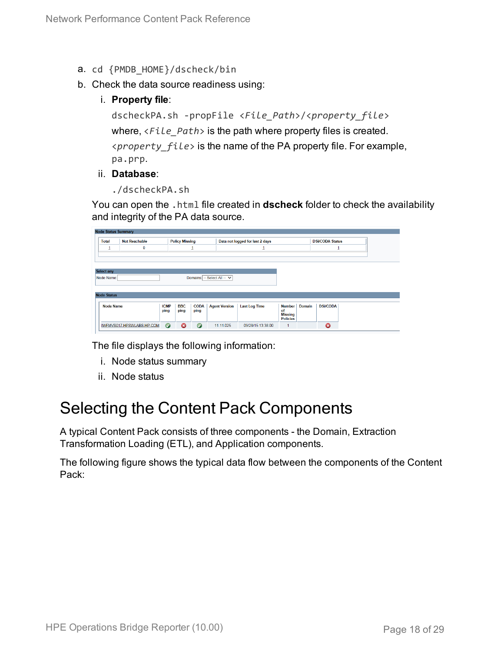- a. cd {PMDB\_HOME}/dscheck/bin
- b. Check the data source readiness using:
	- i. **Property file**:

```
dscheckPA.sh -propFile <File_Path>/<property_file>
where, <File_Path> is the path where property files is created.
<property_file> is the name of the PA property file. For example,
pa.prp.
```
#### ii. **Database**:

```
./dscheckPA.sh
```
You can open the .html file created in **dscheck** folder to check the availability and integrity of the PA data source.

| Node Status Summary |                           |                     |                       |                     |                             |                                 |                                   |        |                 |  |
|---------------------|---------------------------|---------------------|-----------------------|---------------------|-----------------------------|---------------------------------|-----------------------------------|--------|-----------------|--|
| <b>Total</b>        | <b>Not Reachable</b>      |                     | <b>Policy Missing</b> |                     |                             | Data not logged for last 2 days | <b>DSi/CODA Status</b>            |        |                 |  |
| $\mathbf 1$         | 0                         |                     |                       |                     |                             |                                 |                                   |        |                 |  |
|                     |                           |                     |                       |                     |                             |                                 |                                   |        |                 |  |
|                     |                           |                     |                       |                     |                             |                                 |                                   |        |                 |  |
| <b>Select any</b>   |                           |                     |                       |                     |                             |                                 |                                   |        |                 |  |
| Node Name:          |                           |                     |                       |                     | Domains: -- Select All -- V |                                 |                                   |        |                 |  |
|                     |                           |                     |                       |                     |                             |                                 |                                   |        |                 |  |
| <b>Node Status</b>  |                           |                     |                       |                     |                             |                                 |                                   |        |                 |  |
|                     |                           |                     |                       |                     |                             |                                 |                                   |        |                 |  |
| <b>Node Name</b>    |                           | <b>ICMP</b><br>ping | <b>BBC</b><br>ping    | <b>CODA</b><br>ping | <b>Agent Version</b>        | <b>Last Log Time</b>            | <b>Number</b><br>of               | Domain | <b>DSi/CODA</b> |  |
|                     |                           |                     |                       |                     |                             |                                 | <b>Missing</b><br><b>Policies</b> |        |                 |  |
|                     | IWFMVS017.HPSWLABS.HP.COM | $\bullet$           | ø                     | $\bullet$           | 11.11.025                   | 09/28/15 13:38:00               |                                   |        | Ø               |  |
|                     |                           |                     |                       |                     |                             |                                 |                                   |        |                 |  |

The file displays the following information:

- i. Node status summary
- ii. Node status

### <span id="page-17-0"></span>Selecting the Content Pack Components

A typical Content Pack consists of three components - the Domain, Extraction Transformation Loading (ETL), and Application components.

The following figure shows the typical data flow between the components of the Content Pack: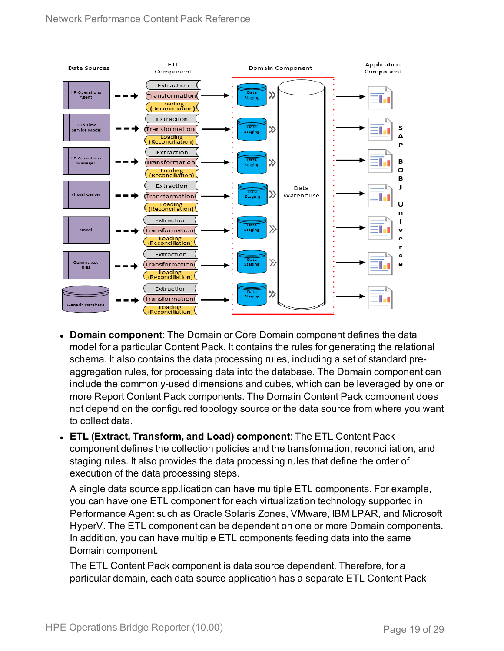

- **Domain component**: The Domain or Core Domain component defines the data model for a particular Content Pack. It contains the rules for generating the relational schema. It also contains the data processing rules, including a set of standard preaggregation rules, for processing data into the database. The Domain component can include the commonly-used dimensions and cubes, which can be leveraged by one or more Report Content Pack components. The Domain Content Pack component does not depend on the configured topology source or the data source from where you want to collect data.
- <sup>l</sup> **ETL (Extract, Transform, and Load) component**: The ETL Content Pack component defines the collection policies and the transformation, reconciliation, and staging rules. It also provides the data processing rules that define the order of execution of the data processing steps.

A single data source app.lication can have multiple ETL components. For example, you can have one ETL component for each virtualization technology supported in Performance Agent such as Oracle Solaris Zones, VMware, IBM LPAR, and Microsoft HyperV. The ETL component can be dependent on one or more Domain components. In addition, you can have multiple ETL components feeding data into the same Domain component.

The ETL Content Pack component is data source dependent. Therefore, for a particular domain, each data source application has a separate ETL Content Pack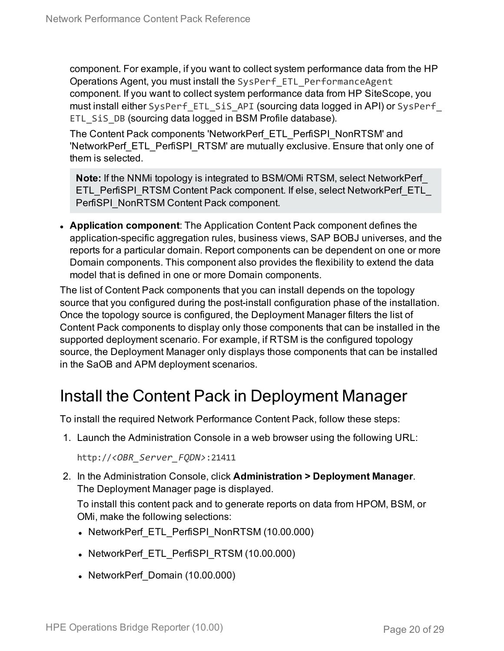component. For example, if you want to collect system performance data from the HP Operations Agent, you must install the SysPerf\_ETL\_PerformanceAgent component. If you want to collect system performance data from HP SiteScope, you must install either SysPerf\_ETL\_SiS\_API (sourcing data logged in API) or SysPerf\_ ETL SiS DB (sourcing data logged in BSM Profile database).

The Content Pack components 'NetworkPerf\_ETL\_PerfiSPI\_NonRTSM' and 'NetworkPerf\_ETL\_PerfiSPI\_RTSM' are mutually exclusive. Ensure that only one of them is selected.

**Note:** If the NNMi topology is integrated to BSM/OMi RTSM, select NetworkPerf\_ ETL\_PerfiSPI\_RTSM Content Pack component. If else, select NetworkPerf\_ETL PerfiSPI\_NonRTSM Content Pack component.

**Application component**: The Application Content Pack component defines the application-specific aggregation rules, business views, SAP BOBJ universes, and the reports for a particular domain. Report components can be dependent on one or more Domain components. This component also provides the flexibility to extend the data model that is defined in one or more Domain components.

The list of Content Pack components that you can install depends on the topology source that you configured during the post-install configuration phase of the installation. Once the topology source is configured, the Deployment Manager filters the list of Content Pack components to display only those components that can be installed in the supported deployment scenario. For example, if RTSM is the configured topology source, the Deployment Manager only displays those components that can be installed in the SaOB and APM deployment scenarios.

## <span id="page-19-0"></span>Install the Content Pack in Deployment Manager

To install the required Network Performance Content Pack, follow these steps:

1. Launch the Administration Console in a web browser using the following URL:

http://*<OBR\_Server\_FQDN>*:21411

2. In the Administration Console, click **Administration > Deployment Manager**. The Deployment Manager page is displayed.

To install this content pack and to generate reports on data from HPOM, BSM, or OMi, make the following selections:

- NetworkPerf\_ETL\_PerfiSPI\_NonRTSM (10.00.000)
- NetworkPerf ETL PerfiSPI RTSM (10.00.000)
- NetworkPerf Domain (10.00.000)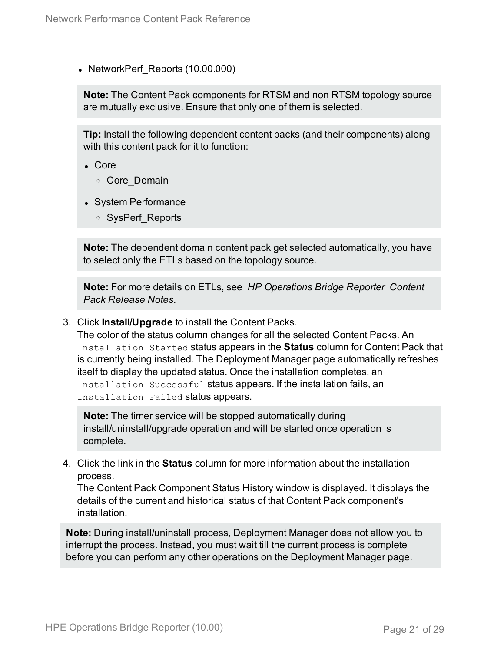• NetworkPerf Reports (10.00.000)

**Note:** The Content Pack components for RTSM and non RTSM topology source are mutually exclusive. Ensure that only one of them is selected.

**Tip:** Install the following dependent content packs (and their components) along with this content pack for it to function:

- <sup>l</sup> Core
	- <sup>o</sup> Core\_Domain
- System Performance
	- <sup>o</sup> SysPerf\_Reports

**Note:** The dependent domain content pack get selected automatically, you have to select only the ETLs based on the topology source.

**Note:** For more details on ETLs, see *HP Operations Bridge Reporter Content Pack Release Notes*.

3. Click **Install/Upgrade** to install the Content Packs.

The color of the status column changes for all the selected Content Packs. An Installation Started status appears in the **Status** column for Content Pack that is currently being installed. The Deployment Manager page automatically refreshes itself to display the updated status. Once the installation completes, an Installation Successful status appears. If the installation fails, an Installation Failed status appears.

**Note:** The timer service will be stopped automatically during install/uninstall/upgrade operation and will be started once operation is complete.

4. Click the link in the **Status** column for more information about the installation process.

The Content Pack Component Status History window is displayed. It displays the details of the current and historical status of that Content Pack component's installation.

**Note:** During install/uninstall process, Deployment Manager does not allow you to interrupt the process. Instead, you must wait till the current process is complete before you can perform any other operations on the Deployment Manager page.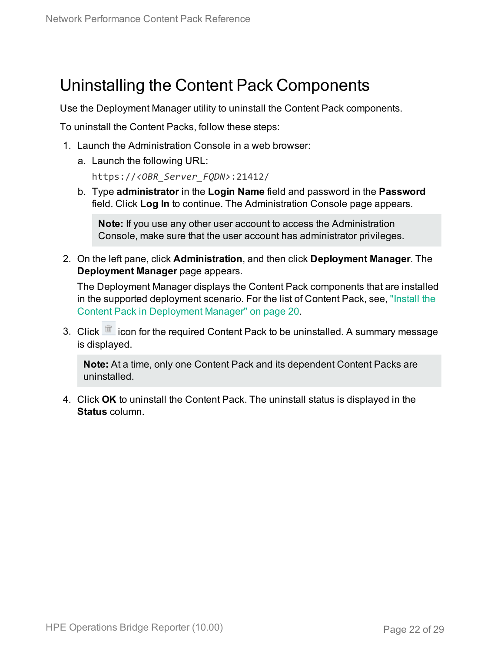### <span id="page-21-0"></span>Uninstalling the Content Pack Components

Use the Deployment Manager utility to uninstall the Content Pack components.

To uninstall the Content Packs, follow these steps:

- 1. Launch the Administration Console in a web browser:
	- a. Launch the following URL:

https://*<OBR\_Server\_FQDN>*:21412/

b. Type **administrator** in the **Login Name** field and password in the **Password** field. Click **Log In** to continue. The Administration Console page appears.

**Note:** If you use any other user account to access the Administration Console, make sure that the user account has administrator privileges.

2. On the left pane, click **Administration**, and then click **Deployment Manager**. The **Deployment Manager** page appears.

The Deployment Manager displays the Content Pack components that are installed in the supported deployment scenario. For the list of Content Pack, see, ["Install](#page-19-0) the Content Pack in [Deployment](#page-19-0) Manager" on page 20.

3. Click icon for the required Content Pack to be uninstalled. A summary message is displayed.

**Note:** At a time, only one Content Pack and its dependent Content Packs are uninstalled.

4. Click **OK** to uninstall the Content Pack. The uninstall status is displayed in the **Status** column.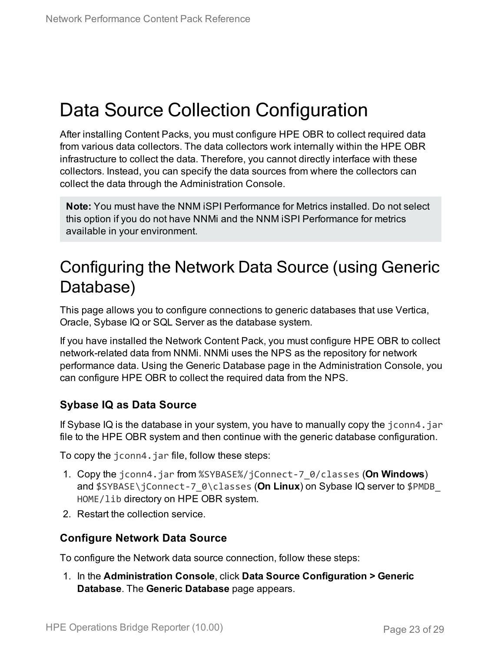## <span id="page-22-0"></span>Data Source Collection Configuration

After installing Content Packs, you must configure HPE OBR to collect required data from various data collectors. The data collectors work internally within the HPE OBR infrastructure to collect the data. Therefore, you cannot directly interface with these collectors. Instead, you can specify the data sources from where the collectors can collect the data through the Administration Console.

**Note:** You must have the NNM iSPI Performance for Metrics installed. Do not select this option if you do not have NNMi and the NNM iSPI Performance for metrics available in your environment.

## <span id="page-22-1"></span>Configuring the Network Data Source (using Generic Database)

This page allows you to configure connections to generic databases that use Vertica, Oracle, Sybase IQ or SQL Server as the database system.

If you have installed the Network Content Pack, you must configure HPE OBR to collect network-related data from NNMi. NNMi uses the NPS as the repository for network performance data. Using the Generic Database page in the Administration Console, you can configure HPE OBR to collect the required data from the NPS.

### **Sybase IQ as Data Source**

If Sybase IQ is the database in your system, you have to manually copy the jconn4.jar file to the HPE OBR system and then continue with the generic database configuration.

To copy the jconn4.jar file, follow these steps:

- 1. Copy the jconn4.jar from %SYBASE%/jConnect-7\_0/classes (**On Windows**) and \$SYBASE\jConnect-7\_0\classes (**On Linux**) on Sybase IQ server to \$PMDB\_ HOME/lib directory on HPE OBR system.
- 2. Restart the collection service.

### **Configure Network Data Source**

To configure the Network data source connection, follow these steps:

1. In the **Administration Console**, click **Data Source Configuration > Generic Database**. The **Generic Database** page appears.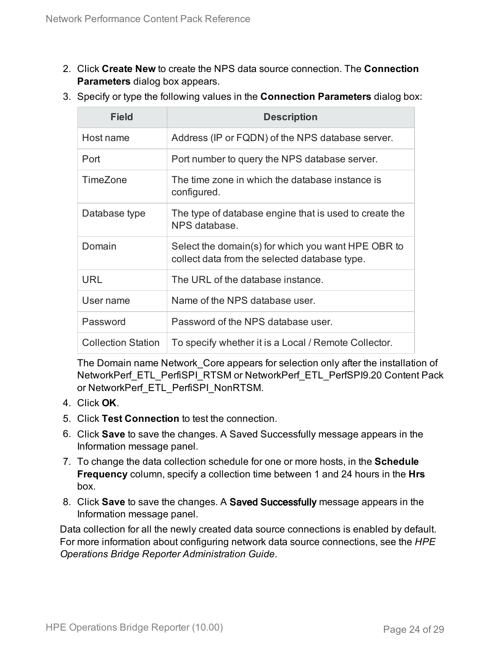- 2. Click **Create New** to create the NPS data source connection. The **Connection Parameters** dialog box appears.
- 3. Specify or type the following values in the **Connection Parameters** dialog box:

| Field                     | <b>Description</b>                                                                                  |
|---------------------------|-----------------------------------------------------------------------------------------------------|
| Host name                 | Address (IP or FQDN) of the NPS database server.                                                    |
| Port                      | Port number to query the NPS database server.                                                       |
| TimeZone                  | The time zone in which the database instance is<br>configured.                                      |
| Database type             | The type of database engine that is used to create the<br>NPS database.                             |
| Domain                    | Select the domain(s) for which you want HPE OBR to<br>collect data from the selected database type. |
| <b>URL</b>                | The URL of the database instance.                                                                   |
| User name                 | Name of the NPS database user.                                                                      |
| Password                  | Password of the NPS database user.                                                                  |
| <b>Collection Station</b> | To specify whether it is a Local / Remote Collector.                                                |

The Domain name Network Core appears for selection only after the installation of NetworkPerf\_ETL\_PerfiSPI\_RTSM or NetworkPerf\_ETL\_PerfSPI9.20 Content Pack or NetworkPerf\_ETL\_PerfiSPI\_NonRTSM.

- 4. Click **OK**.
- 5. Click **Test Connection** to test the connection.
- 6. Click **Save** to save the changes. A Saved Successfully message appears in the Information message panel.
- 7. To change the data collection schedule for one or more hosts, in the **Schedule Frequency** column, specify a collection time between 1 and 24 hours in the **Hrs** box.
- 8. Click **Save** to save the changes. A Saved Successfully message appears in the Information message panel.

Data collection for all the newly created data source connections is enabled by default. For more information about configuring network data source connections, see the *HPE Operations Bridge Reporter Administration Guide*.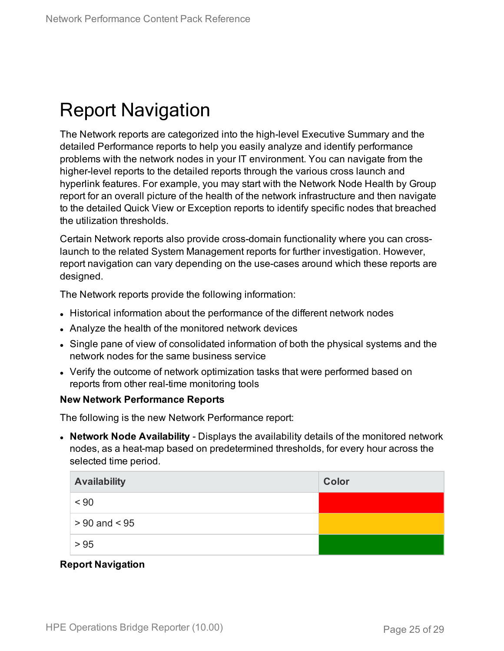## <span id="page-24-0"></span>Report Navigation

The Network reports are categorized into the high-level Executive Summary and the detailed Performance reports to help you easily analyze and identify performance problems with the network nodes in your IT environment. You can navigate from the higher-level reports to the detailed reports through the various cross launch and hyperlink features. For example, you may start with the Network Node Health by Group report for an overall picture of the health of the network infrastructure and then navigate to the detailed Quick View or Exception reports to identify specific nodes that breached the utilization thresholds.

Certain Network reports also provide cross-domain functionality where you can crosslaunch to the related System Management reports for further investigation. However, report navigation can vary depending on the use-cases around which these reports are designed.

The Network reports provide the following information:

- Historical information about the performance of the different network nodes
- Analyze the health of the monitored network devices
- Single pane of view of consolidated information of both the physical systems and the network nodes for the same business service
- Verify the outcome of network optimization tasks that were performed based on reports from other real-time monitoring tools

#### **New Network Performance Reports**

The following is the new Network Performance report:

**• Network Node Availability** - Displays the availability details of the monitored network nodes, as a heat-map based on predetermined thresholds, for every hour across the selected time period.

| <b>Availability</b> | Color |
|---------------------|-------|
| $~<$ 90             |       |
| $> 90$ and $< 95$   |       |
| > 95                |       |

### **Report Navigation**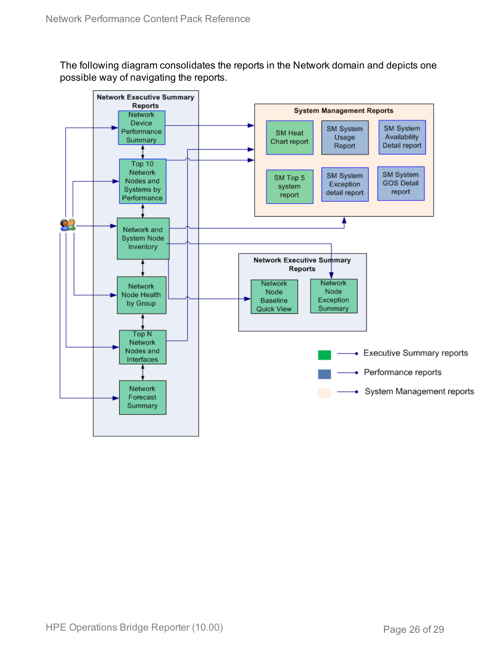The following diagram consolidates the reports in the Network domain and depicts one possible way of navigating the reports.

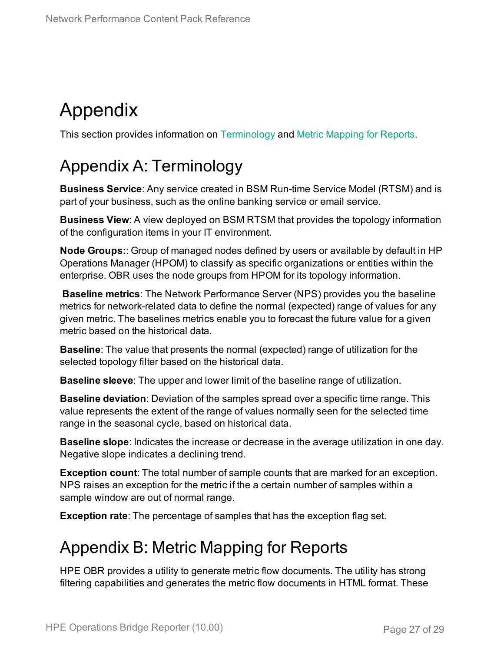## <span id="page-26-0"></span>Appendix

<span id="page-26-1"></span>This section provides information on [Terminology](#page-26-1) and Metric [Mapping](#page-26-2) for Reports.

## Appendix A: Terminology

**Business Service**: Any service created in BSM Run-time Service Model (RTSM) and is part of your business, such as the online banking service or email service.

**Business View**: A view deployed on BSM RTSM that provides the topology information of the configuration items in your IT environment.

**Node Groups:**: Group of managed nodes defined by users or available by default in HP Operations Manager (HPOM) to classify as specific organizations or entities within the enterprise. OBR uses the node groups from HPOM for its topology information.

**Baseline metrics**: The Network Performance Server (NPS) provides you the baseline metrics for network-related data to define the normal (expected) range of values for any given metric. The baselines metrics enable you to forecast the future value for a given metric based on the historical data.

**Baseline**: The value that presents the normal (expected) range of utilization for the selected topology filter based on the historical data.

**Baseline sleeve**: The upper and lower limit of the baseline range of utilization.

**Baseline deviation**: Deviation of the samples spread over a specific time range. This value represents the extent of the range of values normally seen for the selected time range in the seasonal cycle, based on historical data.

**Baseline slope**: Indicates the increase or decrease in the average utilization in one day. Negative slope indicates a declining trend.

**Exception count**: The total number of sample counts that are marked for an exception. NPS raises an exception for the metric if the a certain number of samples within a sample window are out of normal range.

<span id="page-26-2"></span>**Exception rate**: The percentage of samples that has the exception flag set.

### Appendix B: Metric Mapping for Reports

HPE OBR provides a utility to generate metric flow documents. The utility has strong filtering capabilities and generates the metric flow documents in HTML format. These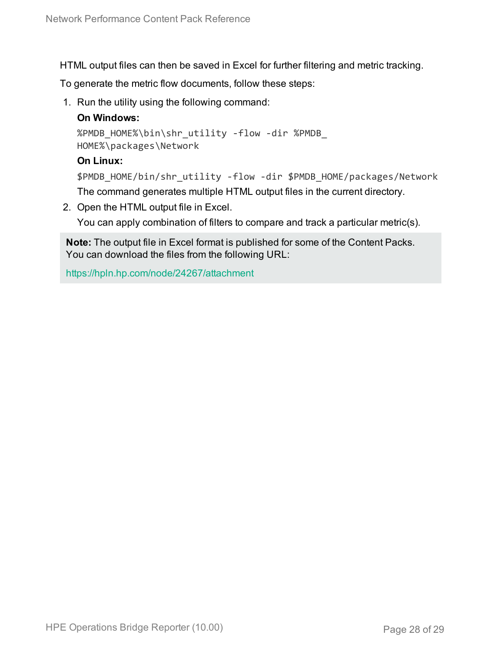HTML output files can then be saved in Excel for further filtering and metric tracking.

To generate the metric flow documents, follow these steps:

1. Run the utility using the following command:

### **On Windows:**

```
%PMDB_HOME%\bin\shr_utility -flow -dir %PMDB_
HOME%\packages\Network
```
#### **On Linux:**

```
$PMDB_HOME/bin/shr_utility -flow -dir $PMDB_HOME/packages/Network
The command generates multiple HTML output files in the current directory.
```
2. Open the HTML output file in Excel.

You can apply combination of filters to compare and track a particular metric(s).

**Note:** The output file in Excel format is published for some of the Content Packs. You can download the files from the following URL:

<https://hpln.hp.com/node/24267/attachment>